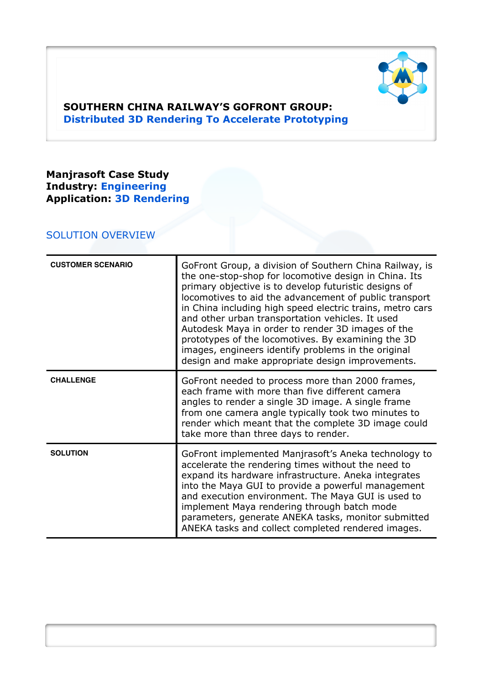

## **SOUTHERN CHINA RAILWAY'S GOFRONT GROUP: Distributed 3D Rendering To Accelerate Prototyping**

## **Manjrasoft Case Study Industry: Engineering Application: 3D Rendering**

## SOLUTION OVERVIEW

| <b>CUSTOMER SCENARIO</b> | GoFront Group, a division of Southern China Railway, is<br>the one-stop-shop for locomotive design in China. Its<br>primary objective is to develop futuristic designs of<br>locomotives to aid the advancement of public transport<br>in China including high speed electric trains, metro cars<br>and other urban transportation vehicles. It used<br>Autodesk Maya in order to render 3D images of the<br>prototypes of the locomotives. By examining the 3D<br>images, engineers identify problems in the original<br>design and make appropriate design improvements. |
|--------------------------|----------------------------------------------------------------------------------------------------------------------------------------------------------------------------------------------------------------------------------------------------------------------------------------------------------------------------------------------------------------------------------------------------------------------------------------------------------------------------------------------------------------------------------------------------------------------------|
| <b>CHALLENGE</b>         | GoFront needed to process more than 2000 frames,<br>each frame with more than five different camera<br>angles to render a single 3D image. A single frame<br>from one camera angle typically took two minutes to<br>render which meant that the complete 3D image could<br>take more than three days to render.                                                                                                                                                                                                                                                            |
| <b>SOLUTION</b>          | GoFront implemented Manjrasoft's Aneka technology to<br>accelerate the rendering times without the need to<br>expand its hardware infrastructure. Aneka integrates<br>into the Maya GUI to provide a powerful management<br>and execution environment. The Maya GUI is used to<br>implement Maya rendering through batch mode<br>parameters, generate ANEKA tasks, monitor submitted<br>ANEKA tasks and collect completed rendered images.                                                                                                                                 |